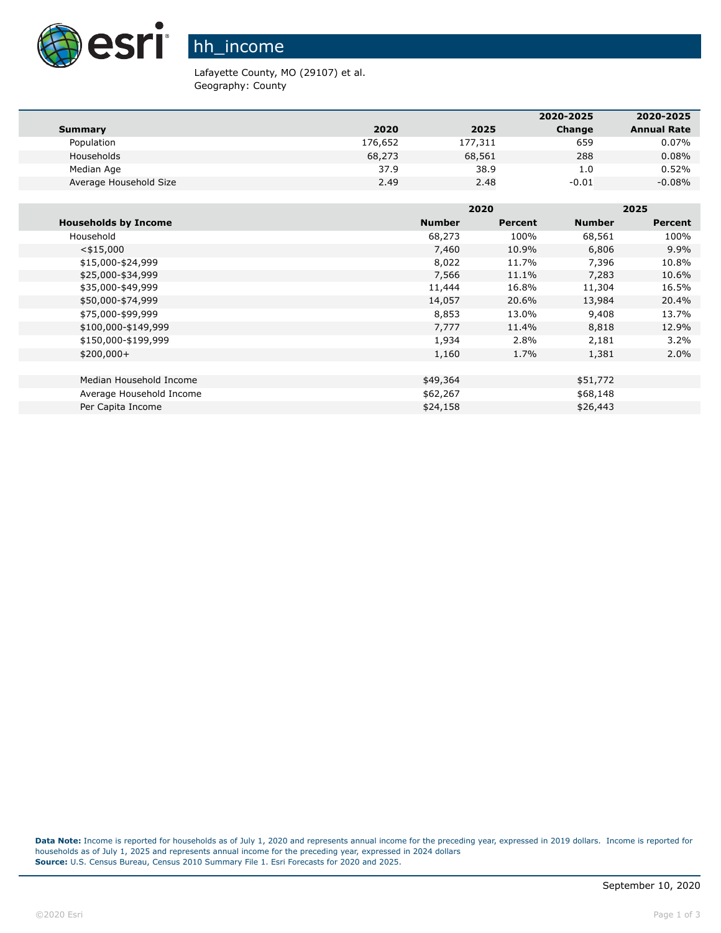

## hh\_income

Lafayette County, MO (29107) et al. Geography: County

|                        |         |         | 2020-2025 | 2020-2025          |
|------------------------|---------|---------|-----------|--------------------|
| Summary                | 2020    | 2025    | Change    | <b>Annual Rate</b> |
| Population             | 176,652 | 177,311 | 659       | 0.07%              |
| Households             | 68,273  | 68,561  | 288       | 0.08%              |
| Median Age             | 37.9    | 38.9    | 1.0       | 0.52%              |
| Average Household Size | 2.49    | 2.48    | $-0.01$   | $-0.08%$           |

|                             |               | 2020    |               | 2025           |  |
|-----------------------------|---------------|---------|---------------|----------------|--|
| <b>Households by Income</b> | <b>Number</b> | Percent | <b>Number</b> | <b>Percent</b> |  |
| Household                   | 68,273        | 100%    | 68,561        | 100%           |  |
| $<$ \$15,000                | 7,460         | 10.9%   | 6,806         | $9.9\%$        |  |
| \$15,000-\$24,999           | 8,022         | 11.7%   | 7,396         | 10.8%          |  |
| \$25,000-\$34,999           | 7,566         | 11.1%   | 7,283         | 10.6%          |  |
| \$35,000-\$49,999           | 11,444        | 16.8%   | 11,304        | 16.5%          |  |
| \$50,000-\$74,999           | 14,057        | 20.6%   | 13,984        | 20.4%          |  |
| \$75,000-\$99,999           | 8,853         | 13.0%   | 9,408         | 13.7%          |  |
| \$100,000-\$149,999         | 7,777         | 11.4%   | 8,818         | 12.9%          |  |
| \$150,000-\$199,999         | 1,934         | 2.8%    | 2,181         | $3.2\%$        |  |
| $$200,000+$                 | 1,160         | 1.7%    | 1,381         | 2.0%           |  |
|                             |               |         |               |                |  |
| Median Household Income     | \$49,364      |         | \$51,772      |                |  |
| Average Household Income    | \$62,267      |         | \$68,148      |                |  |
| Per Capita Income           | \$24,158      |         | \$26,443      |                |  |

**Data Note:** Income is reported for households as of July 1, 2020 and represents annual income for the preceding year, expressed in 2019 dollars. Income is reported for households as of July 1, 2025 and represents annual income for the preceding year, expressed in 2024 dollars **Source:** U.S. Census Bureau, Census 2010 Summary File 1. Esri Forecasts for 2020 and 2025.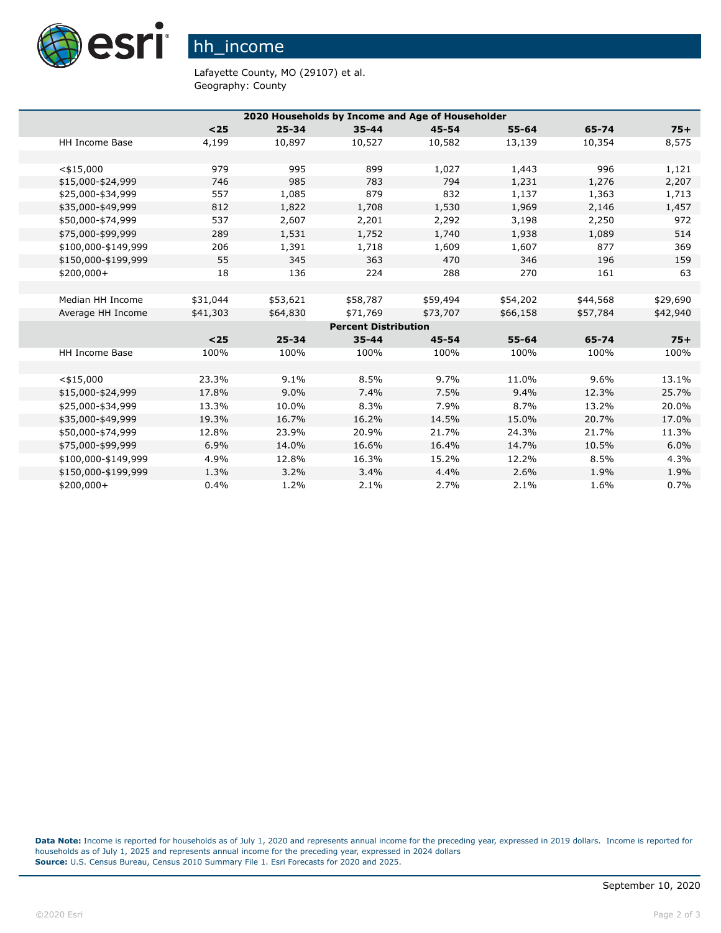

## hh\_income

Lafayette County, MO (29107) et al. Geography: County

| 2020 Households by Income and Age of Householder |          |           |                             |           |           |          |          |
|--------------------------------------------------|----------|-----------|-----------------------------|-----------|-----------|----------|----------|
|                                                  | $25$     | $25 - 34$ | $35 - 44$                   | $45 - 54$ | $55 - 64$ | 65-74    | $75+$    |
| <b>HH Income Base</b>                            | 4,199    | 10,897    | 10,527                      | 10,582    | 13,139    | 10,354   | 8,575    |
|                                                  |          |           |                             |           |           |          |          |
| $<$ \$15,000                                     | 979      | 995       | 899                         | 1,027     | 1,443     | 996      | 1,121    |
| \$15,000-\$24,999                                | 746      | 985       | 783                         | 794       | 1,231     | 1,276    | 2,207    |
| \$25,000-\$34,999                                | 557      | 1,085     | 879                         | 832       | 1,137     | 1,363    | 1,713    |
| \$35,000-\$49,999                                | 812      | 1,822     | 1,708                       | 1,530     | 1,969     | 2,146    | 1,457    |
| \$50,000-\$74,999                                | 537      | 2,607     | 2,201                       | 2,292     | 3,198     | 2,250    | 972      |
| \$75,000-\$99,999                                | 289      | 1,531     | 1,752                       | 1,740     | 1,938     | 1,089    | 514      |
| \$100,000-\$149,999                              | 206      | 1,391     | 1,718                       | 1,609     | 1,607     | 877      | 369      |
| \$150,000-\$199,999                              | 55       | 345       | 363                         | 470       | 346       | 196      | 159      |
| $$200,000+$                                      | 18       | 136       | 224                         | 288       | 270       | 161      | 63       |
|                                                  |          |           |                             |           |           |          |          |
| Median HH Income                                 | \$31,044 | \$53,621  | \$58,787                    | \$59,494  | \$54,202  | \$44,568 | \$29,690 |
| Average HH Income                                | \$41,303 | \$64,830  | \$71,769                    | \$73,707  | \$66,158  | \$57,784 | \$42,940 |
|                                                  |          |           | <b>Percent Distribution</b> |           |           |          |          |
|                                                  | $25$     | $25 - 34$ | $35 - 44$                   | $45 - 54$ | $55 - 64$ | 65-74    | $75+$    |
| <b>HH Income Base</b>                            | 100%     | 100%      | 100%                        | 100%      | 100%      | 100%     | 100%     |
|                                                  |          |           |                             |           |           |          |          |
| $<$ \$15,000                                     | 23.3%    | 9.1%      | 8.5%                        | 9.7%      | 11.0%     | 9.6%     | 13.1%    |
| \$15,000-\$24,999                                | 17.8%    | 9.0%      | 7.4%                        | 7.5%      | 9.4%      | 12.3%    | 25.7%    |
| \$25,000-\$34,999                                | 13.3%    | 10.0%     | 8.3%                        | 7.9%      | 8.7%      | 13.2%    | 20.0%    |
| \$35,000-\$49,999                                | 19.3%    | 16.7%     | 16.2%                       | 14.5%     | 15.0%     | 20.7%    | 17.0%    |
| \$50,000-\$74,999                                | 12.8%    | 23.9%     | 20.9%                       | 21.7%     | 24.3%     | 21.7%    | 11.3%    |
| \$75,000-\$99,999                                | 6.9%     | 14.0%     | 16.6%                       | 16.4%     | 14.7%     | 10.5%    | 6.0%     |
| \$100,000-\$149,999                              | 4.9%     | 12.8%     | 16.3%                       | 15.2%     | 12.2%     | 8.5%     | 4.3%     |
| \$150,000-\$199,999                              | 1.3%     | 3.2%      | 3.4%                        | 4.4%      | 2.6%      | 1.9%     | 1.9%     |
| \$200,000+                                       | 0.4%     | 1.2%      | 2.1%                        | 2.7%      | 2.1%      | 1.6%     | 0.7%     |

**Data Note:** Income is reported for households as of July 1, 2020 and represents annual income for the preceding year, expressed in 2019 dollars. Income is reported for households as of July 1, 2025 and represents annual income for the preceding year, expressed in 2024 dollars **Source:** U.S. Census Bureau, Census 2010 Summary File 1. Esri Forecasts for 2020 and 2025.